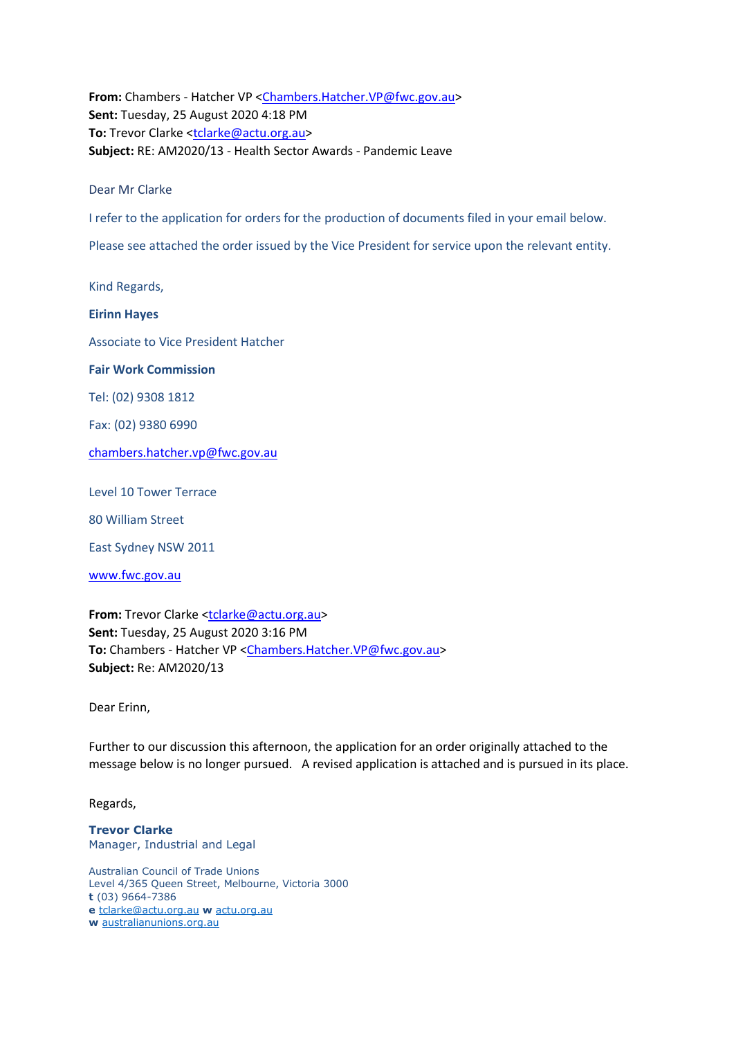**From:** Chambers - Hatcher VP [<Chambers.Hatcher.VP@fwc.gov.au>](mailto:Chambers.Hatcher.VP@fwc.gov.au) **Sent:** Tuesday, 25 August 2020 4:18 PM **To:** Trevor Clarke [<tclarke@actu.org.au>](mailto:tclarke@actu.org.au) **Subject:** RE: AM2020/13 - Health Sector Awards - Pandemic Leave

Dear Mr Clarke

I refer to the application for orders for the production of documents filed in your email below.

Please see attached the order issued by the Vice President for service upon the relevant entity.

Kind Regards,

**Eirinn Hayes**

Associate to Vice President Hatcher

**Fair Work Commission** 

Tel: (02) 9308 1812

Fax: (02) 9380 6990

[chambers.hatcher.vp@fwc.gov.au](mailto:chambers.hatcher.vp@fwc.gov.au) 

Level 10 Tower Terrace

80 William Street

East Sydney NSW 2011

[www.fwc.gov.au](http://www.fwc.gov.au/)

**From:** Trevor Clarke [<tclarke@actu.org.au>](mailto:tclarke@actu.org.au) **Sent:** Tuesday, 25 August 2020 3:16 PM **To:** Chambers - Hatcher VP [<Chambers.Hatcher.VP@fwc.gov.au>](mailto:Chambers.Hatcher.VP@fwc.gov.au) **Subject:** Re: AM2020/13

Dear Erinn,

Further to our discussion this afternoon, the application for an order originally attached to the message below is no longer pursued. A revised application is attached and is pursued in its place.

Regards,

**Trevor Clarke** Manager, Industrial and Legal

Australian Council of Trade Unions Level 4/365 Queen Street, Melbourne, Victoria 3000 **t** (03) 9664-7386 **e** [tclarke@actu.org.au](mailto:tclarke@actu.org.au) **w** [actu.org.au](http://actu.org.au/) **w** [australianunions.org.au](http://australianunions.org.au/)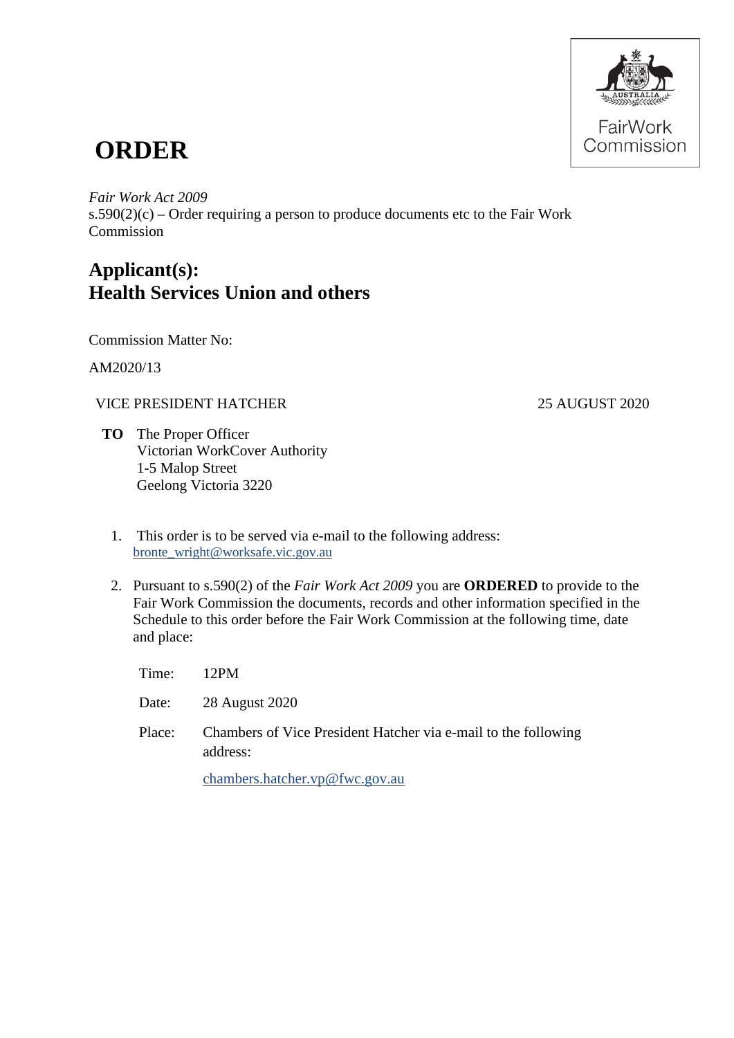

# **ORDER**

#### *Fair Work Act 2009*

 $s.590(2)(c)$  – Order requiring a person to produce documents etc to the Fair Work Commission

## **Applicant(s): Health Services Union and others**

Commission Matter No:

AM2020/13

### VICE PRESIDENT HATCHER 25 AUGUST 2020

- **TO** The Proper Officer Victorian WorkCover Authority 1-5 Malop Street Geelong Victoria 3220
	- 1. This order is to be served via e-mail to the following address: [bronte\\_wright@worksafe.vic.gov.au](mailto:bronte_wright@worksafe.vic.gov.au)
	- 2. Pursuant to s.590(2) of the *Fair Work Act 2009* you are **ORDERED** to provide to the Fair Work Commission the documents, records and other information specified in the Schedule to this order before the Fair Work Commission at the following time, date and place:

| Time:  | 12PM                                                                       |
|--------|----------------------------------------------------------------------------|
|        | Date: 28 August 2020                                                       |
| Place: | Chambers of Vice President Hatcher via e-mail to the following<br>address: |
|        | chambers hatcher $\nabla \phi$ fwc $\phi$ ov au                            |

[chambers.hatcher.vp@fwc.gov.au](mailto:chambers.hatcher.vp@fwc.gov.au)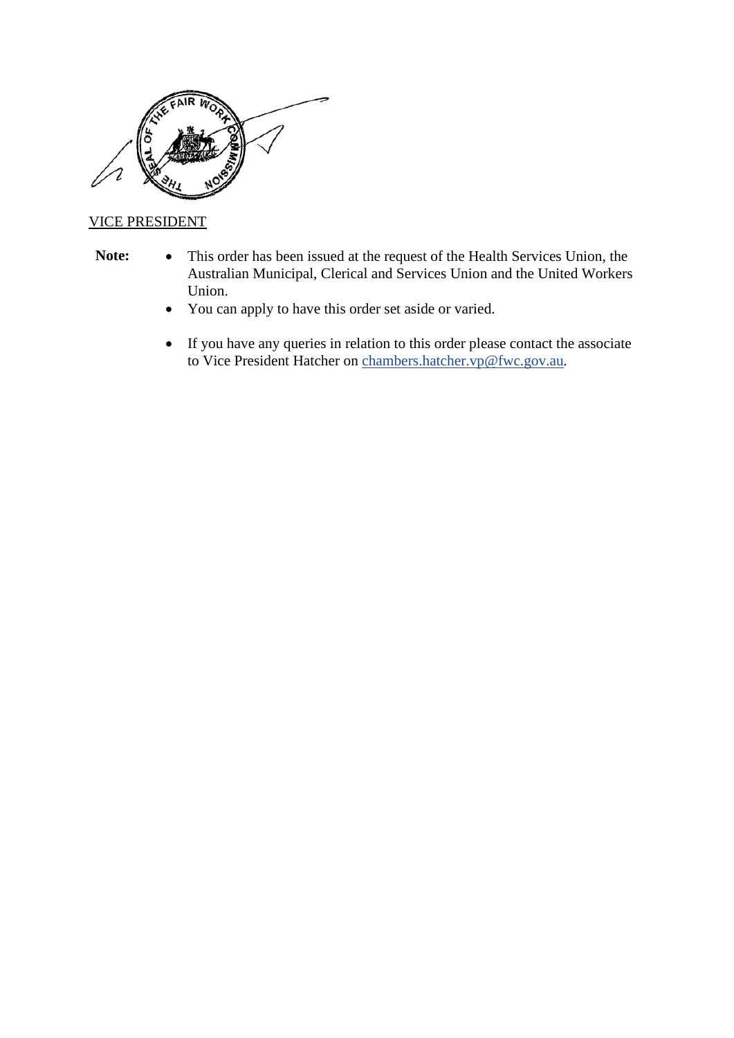

#### VICE PRESIDENT

- 
- **Note:** This order has been issued at the request of the Health Services Union, the Australian Municipal, Clerical and Services Union and the United Workers Union.
	- You can apply to have this order set aside or varied.
	- If you have any queries in relation to this order please contact the associate to Vice President Hatcher on [chambers.hatcher.vp@fwc.gov.au](mailto:chambers.hatcher.vp@fwc.gov.au)*.*